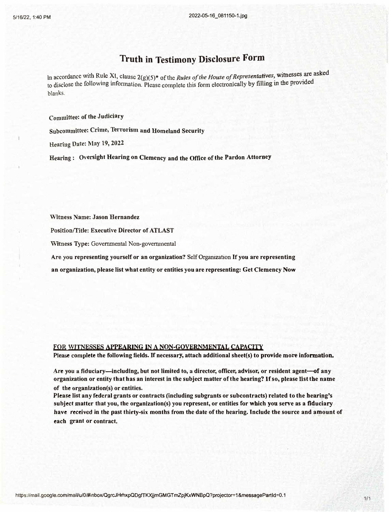## **Truth in Testimony Disclosure Form**

In accordance with Rule XI, clause  $2(g)(5)^*$  of the *Rules of the House of Representatives*, witnesses are asked to disclose the following information. Please complete this form electronically by filling in the provided blanks.

**Committee: of the Judiciarv** 

Subcommittee: **Crime, Terrorism and Homeland Security** 

**Heariug Date: May 19, 2022** 

**Hearing : Oversight Hearing on Clemency and the Office of the Pardon Attorney** 

**·witness Name: Jason Hernandez**

**Position/rifle: Executive Director of ATLAST**

**Witness Type: Governmental Non-governmental**

**Are you representing yourself or an organization? Self Organization If you are representing**

**an organization, please list what entity or entities you are representing: Get Clemency Now**

## **FOR WITNESSES APPEARING IN A NON-GOVERNMENTAL CAPACITY**

Please complete the following fields. If necessary, attach additional sheet(s) to provide more information.

**Are you a fiduciary-including, but not limited to, a director, officer, advisor, or resident agent-Gf any organization or entity that has an interest in the subject matter of the bearing? lf so, please list the name of the organization(s) or entities.** 

**Please list any federal grants or contracts (including subgrants or subcontracts) related to the bearing's subject matter that you, the orgunizntion(s) you represent, or entities for which you serve as a fiduciary have received in the past thirty-six months from the date ofthc hearing. Include the source and amount of each grant or contract.**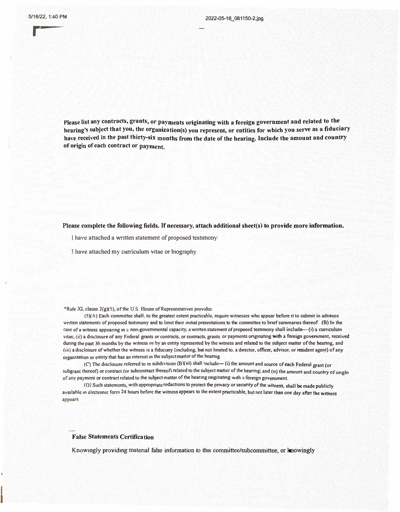r

**Please list any contracts, grants, or payments originating with a foreign government and related to the \_ hearing's subject that you, the organization(s) you represent, or entities for which you serve as a fiduciary have received in the past thirty-six months from the date of the hearing. Include the amount and country of origin of each contract or payment.** 

**Please complete the following fields.** If **necessary, attach additional sheet(s) to provide more information.** 

I have attached a written statement of proposed testimony:

**I** have attached my cuniculum vitae or biography .

\*Rule XI, clause  $2(g)(5)$ , of the U.S. House of Representatives provides:

(S)(A) Each committee shall. to the greatest extent practicable, require witnesses who appear before it to submit in advance written statements of proposed testimony and to limit their initial presentations to the committee to brief summaries thereof. (B) In the case of a witness appearing in a non-governmental capacity, a written statement of proposed testimony shall include--(i) a curriculum vitae; (ii) a disclosure of any Federal grants or contracts, or contracts, grants. or payments originating with a foreign government, received during the past 36 months by the witness or by an entity represented by the witness and related to the subject matter of the hearing; and (iii) a disclosure of whether the witness is a fiduciary (including, but not limited to, a director, officer, advisor, or resident agent) of any organization or entity that has an interest in the subject matter of the hearing.

(C) The disclosure referred to in subdivision (B)(iii) shall include- (i) the amount and source of each Federal grant (or subgrant thereof) or contract *(or* subcontract thereof) related to the subject matter of the hearing; and (ii) the amount and country of origin of any payment or contract related to the subject matter of the hearing originating with a foreign government.

(D) Such statements, with appropriate redactions to protect the privacy or security of the witness, shall **be** made publicly available m electronic fonn 24 hours before the witness appears to the extent practicable, but not later than one day after the witness appears

## **False Statements Certification**

Knowingly providing material false information to this committee/subcommittee, or **knowingly**